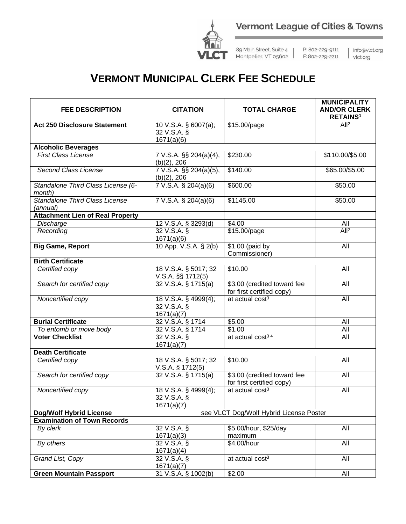



89 Main Street, Suite 4 | Montpelier, VT 05602 | F: 802-229-2211

P: 802-229-9111

| info@vlct.org Vict.org

## **VERMONT MUNICIPAL CLERK FEE SCHEDULE**

| <b>FEE DESCRIPTION</b>                            | <b>CITATION</b>                                   | <b>TOTAL CHARGE</b>                                      | <b>MUNICIPALITY</b><br><b>AND/OR CLERK</b><br><b>RETAINS<sup>1</sup></b> |
|---------------------------------------------------|---------------------------------------------------|----------------------------------------------------------|--------------------------------------------------------------------------|
| <b>Act 250 Disclosure Statement</b>               | 10 V.S.A. § 6007(a);<br>32 V.S.A. §<br>1671(a)(6) | \$15.00/page                                             | All <sup>2</sup>                                                         |
| <b>Alcoholic Beverages</b>                        |                                                   |                                                          |                                                                          |
| <b>First Class License</b>                        | 7 V.S.A. §§ 204(a)(4),<br>(b)(2), 206             | \$230.00                                                 | \$110.00/\$5.00                                                          |
| <b>Second Class License</b>                       | 7 V.S.A. §§ 204(a)(5),<br>(b)(2), 206             | \$140.00                                                 | \$65.00/\$5.00                                                           |
| Standalone Third Class License (6-<br>month)      | $7 V.S.A.$ § 204(a)(6)                            | \$600.00                                                 | \$50.00                                                                  |
| <b>Standalone Third Class License</b><br>(annual) | 7 V.S.A. § 204(a)(6)                              | \$1145.00                                                | \$50.00                                                                  |
| <b>Attachment Lien of Real Property</b>           |                                                   |                                                          |                                                                          |
| Discharge                                         | 12 V.S.A. § 3293(d)                               | \$4.00                                                   | All                                                                      |
| Recording                                         | 32 V.S.A. §<br>1671(a)(6)                         | \$15.00/page                                             | All <sup>2</sup>                                                         |
| <b>Big Game, Report</b>                           | 10 App. V.S.A. § 2(b)                             | \$1.00 (paid by<br>Commissioner)                         | All                                                                      |
| <b>Birth Certificate</b>                          |                                                   |                                                          |                                                                          |
| Certified copy                                    | 18 V.S.A. § 5017; 32<br>V.S.A. §§ 1712(5)         | \$10.00                                                  | All                                                                      |
| Search for certified copy                         | 32 V.S.A. § 1715(a)                               | \$3.00 (credited toward fee<br>for first certified copy) | All                                                                      |
| Noncertified copy                                 | 18 V.S.A. § 4999(4);<br>32 V.S.A. §<br>1671(a)(7) | at actual cost <sup>3</sup>                              | All                                                                      |
| <b>Burial Certificate</b>                         | 32 V.S.A. § 1714                                  | \$5.00                                                   | All                                                                      |
| To entomb or move body                            | 32 V.S.A. § 1714                                  | $\sqrt{$1.00}$                                           | All                                                                      |
| <b>Voter Checklist</b>                            | 32 V.S.A. §<br>1671(a)(7)                         | at actual cost <sup>34</sup>                             | All                                                                      |
| <b>Death Certificate</b>                          |                                                   |                                                          |                                                                          |
| Certified copy                                    | 18 V.S.A. § 5017; 32<br>$V.S.A.$ § 1712(5)        | \$10.00                                                  | All                                                                      |
| Search for certified copy                         | 32 V.S.A. § 1715(a)                               | \$3.00 (credited toward fee<br>for first certified copy) | All                                                                      |
| Noncertified copy                                 | 18 V.S.A. § 4999(4);<br>32 V.S.A. §<br>1671(a)(7) | at actual cost <sup>3</sup>                              | All                                                                      |
| <b>Dog/Wolf Hybrid License</b>                    |                                                   | see VLCT Dog/Wolf Hybrid License Poster                  |                                                                          |
| <b>Examination of Town Records</b>                |                                                   |                                                          |                                                                          |
| By clerk                                          | 32 V.S.A. §<br>1671(a)(3)                         | \$5.00/hour, \$25/day<br>maximum                         | All                                                                      |
| By others                                         | $32 V.S.A.$ §<br>1671(a)(4)                       | \$4.00/hour                                              | All                                                                      |
| Grand List, Copy                                  | 32 V.S.A. §<br>1671(a)(7)                         | at actual cost <sup>3</sup>                              | All                                                                      |
| <b>Green Mountain Passport</b>                    | 31 V.S.A. § 1002(b)                               | \$2.00                                                   | All                                                                      |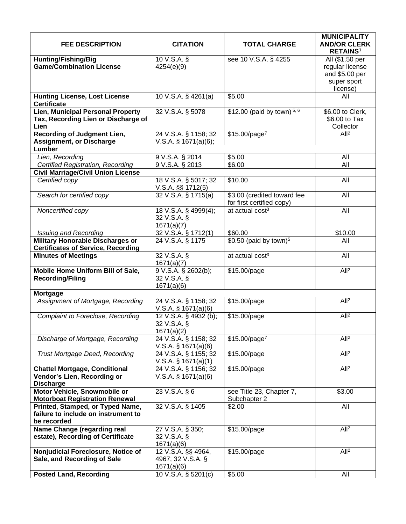| <b>FEE DESCRIPTION</b>                                     | <b>CITATION</b>                                | <b>TOTAL CHARGE</b>                                      | <b>MUNICIPALITY</b><br><b>AND/OR CLERK</b><br><b>RETAINS<sup>1</sup></b> |
|------------------------------------------------------------|------------------------------------------------|----------------------------------------------------------|--------------------------------------------------------------------------|
| <b>Hunting/Fishing/Big</b>                                 | 10 V.S.A.                                      | see 10 V.S.A. § 4255                                     | All (\$1.50 per                                                          |
| <b>Game/Combination License</b>                            | 4254(e)(9)                                     |                                                          | regular license                                                          |
|                                                            |                                                |                                                          | and \$5.00 per                                                           |
|                                                            |                                                |                                                          | super sport                                                              |
|                                                            |                                                |                                                          | license)                                                                 |
| <b>Hunting License, Lost License</b><br><b>Certificate</b> | 10 V.S.A. § 4261(a)                            | \$5.00                                                   | All                                                                      |
| <b>Lien, Municipal Personal Property</b>                   | 32 V.S.A. § 5078                               | \$12.00 (paid by town) $5, 6$                            | \$6.00 to Clerk,                                                         |
| Tax, Recording Lien or Discharge of                        |                                                |                                                          | \$6.00 to Tax                                                            |
| Lien                                                       |                                                |                                                          | Collector                                                                |
| Recording of Judgment Lien,                                | 24 V.S.A. § 1158; 32                           | $$15.00$ /page <sup>7</sup>                              | All <sup>2</sup>                                                         |
| <b>Assignment, or Discharge</b>                            | V.S.A. $\S$ 1671(a)(6);                        |                                                          |                                                                          |
| Lumber                                                     |                                                |                                                          |                                                                          |
| Lien, Recording                                            | 9 V.S.A. § 2014                                | \$5.00                                                   | All                                                                      |
| Certified Registration, Recording                          | 9 V.S.A. § 2013                                | \$6.00                                                   | All                                                                      |
| <b>Civil Marriage/Civil Union License</b>                  |                                                |                                                          |                                                                          |
| Certified copy                                             | 18 V.S.A. § 5017; 32                           | \$10.00                                                  | All                                                                      |
|                                                            | <u>V.S.A. §§ 1712(5)</u>                       |                                                          |                                                                          |
| Search for certified copy                                  | 32 V.S.A. § 1715(a)                            | \$3.00 (credited toward fee<br>for first certified copy) | $\overline{All}$                                                         |
| Noncertified copy                                          | 18 V.S.A. § 4999(4);                           | at actual cost <sup>3</sup>                              | All                                                                      |
|                                                            | 32 V.S.A. §                                    |                                                          |                                                                          |
|                                                            | 1671(a)(7)                                     |                                                          |                                                                          |
| <b>Issuing and Recording</b>                               | 32 V.S.A. § 1712(1)                            | \$60.00                                                  | \$10.00                                                                  |
| <b>Military Honorable Discharges or</b>                    | 24 V.S.A. § 1175                               | \$0.50 (paid by town) $5$                                | All                                                                      |
| <b>Certificates of Service, Recording</b>                  |                                                |                                                          |                                                                          |
| <b>Minutes of Meetings</b>                                 | 32 V.S.A. §<br>1671(a)(7)                      | at actual cost <sup>3</sup>                              | All                                                                      |
| Mobile Home Uniform Bill of Sale,                          | 9 V.S.A. § 2602(b);                            | \$15.00/page                                             | All <sup>2</sup>                                                         |
| <b>Recording/Filing</b>                                    | 32 V.S.A. §                                    |                                                          |                                                                          |
|                                                            | 1671(a)(6)                                     |                                                          |                                                                          |
| <b>Mortgage</b>                                            |                                                |                                                          |                                                                          |
| Assignment of Mortgage, Recording                          | 24 V.S.A. § 1158; 32<br>$V.S.A.$ § 1671(a)(6)  | \$15.00/page                                             | All <sup>2</sup>                                                         |
| Complaint to Foreclose, Recording                          | 12 V.S.A. § 4932 (b);<br>32 V.S.A. §           | \$15.00/page                                             | All <sup>2</sup>                                                         |
|                                                            | 1671(a)(2)                                     |                                                          |                                                                          |
| Discharge of Mortgage, Recording                           | 24 V.S.A. § 1158; 32<br>V.S.A. $\S$ 1671(a)(6) | $$15.00$ /page <sup>7</sup>                              | All <sup>2</sup>                                                         |
| <b>Trust Mortgage Deed, Recording</b>                      | 24 V.S.A. § 1155; 32<br>$V.S.A.$ § 1671(a)(1)  | \$15.00/page                                             | All <sup>2</sup>                                                         |
| <b>Chattel Mortgage, Conditional</b>                       | 24 V.S.A. § 1156; 32                           | \$15.00/page                                             | All <sup>2</sup>                                                         |
| Vendor's Lien, Recording or                                | $V.S.A.$ § 1671(a)(6)                          |                                                          |                                                                          |
| <b>Discharge</b>                                           |                                                |                                                          |                                                                          |
| Motor Vehicle, Snowmobile or                               | 23 V.S.A. § 6                                  | see Title 23, Chapter 7,                                 | \$3.00                                                                   |
| <b>Motorboat Registration Renewal</b>                      |                                                | Subchapter 2                                             |                                                                          |
| Printed, Stamped, or Typed Name,                           | 32 V.S.A. § 1405                               | \$2.00                                                   | All                                                                      |
| failure to include on instrument to                        |                                                |                                                          |                                                                          |
| be recorded                                                |                                                |                                                          |                                                                          |
| Name Change (regarding real                                | 27 V.S.A. § 350;                               | \$15.00/page                                             | All <sup>2</sup>                                                         |
| estate), Recording of Certificate                          | 32 V.S.A. §                                    |                                                          |                                                                          |
|                                                            | 1671(a)(6)                                     |                                                          |                                                                          |
| Nonjudicial Foreclosure, Notice of                         | 12 V.S.A. §§ 4964,                             | \$15.00/page                                             | All <sup>2</sup>                                                         |
| Sale, and Recording of Sale                                | 4967; 32 V.S.A. §                              |                                                          |                                                                          |
|                                                            | 1671(a)(6)                                     |                                                          |                                                                          |
| <b>Posted Land, Recording</b>                              | 10 V.S.A. § 5201(c)                            | \$5.00                                                   | All                                                                      |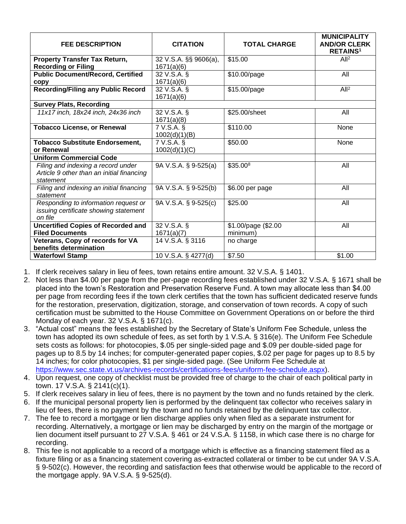| <b>FEE DESCRIPTION</b>                                                                   | <b>CITATION</b>                     | <b>TOTAL CHARGE</b> | <b>MUNICIPALITY</b><br><b>AND/OR CLERK</b><br><b>RETAINS<sup>1</sup></b> |
|------------------------------------------------------------------------------------------|-------------------------------------|---------------------|--------------------------------------------------------------------------|
| <b>Property Transfer Tax Return,</b><br><b>Recording or Filing</b>                       | 32 V.S.A. §§ 9606(a),<br>1671(a)(6) | \$15.00             | All <sup>2</sup>                                                         |
| <b>Public Document/Record, Certified</b><br>copy                                         | 32 V.S.A. §<br>1671(a)(6)           | \$10.00/page        | All                                                                      |
| <b>Recording/Filing any Public Record</b>                                                | 32 V.S.A. §<br>1671(a)(6)           | \$15.00/page        | All <sup>2</sup>                                                         |
| <b>Survey Plats, Recording</b>                                                           |                                     |                     |                                                                          |
| 11x17 inch, 18x24 inch, 24x36 inch                                                       | 32 V.S.A. §<br>1671(a)(8)           | \$25.00/sheet       | All                                                                      |
| <b>Tobacco License, or Renewal</b>                                                       | 7 V.S.A. §<br>1002(d)(1)(B)         | \$110.00            | None                                                                     |
| <b>Tobacco Substitute Endorsement,</b><br>or Renewal                                     | 7 V.S.A. §                          | \$50.00             | None                                                                     |
| <b>Uniform Commercial Code</b>                                                           | 1002(d)(1)(C)                       |                     |                                                                          |
| Filing and indexing a record under                                                       | 9A V.S.A. § 9-525(a)                | \$35.008            | All                                                                      |
| Article 9 other than an initial financing<br>statement                                   |                                     |                     |                                                                          |
| Filing and indexing an initial financing<br>statement                                    | 9A V.S.A. § 9-525(b)                | \$6.00 per page     | All                                                                      |
| Responding to information request or<br>issuing certificate showing statement<br>on file | 9A V.S.A. § 9-525(c)                | \$25.00             | All                                                                      |
| <b>Uncertified Copies of Recorded and</b>                                                | 32 V.S.A. §                         | \$1.00/page (\$2.00 | All                                                                      |
| <b>Filed Documents</b>                                                                   | 1671(a)(7)                          | minimum)            |                                                                          |
| Veterans, Copy of records for VA<br>benefits determination                               | 14 V.S.A. § 3116                    | no charge           |                                                                          |
| <b>Waterfowl Stamp</b>                                                                   | 10 V.S.A. § 4277(d)                 | \$7.50              | \$1.00                                                                   |

1. If clerk receives salary in lieu of fees, town retains entire amount. 32 V.S.A. § 1401.

- 2. Not less than \$4.00 per page from the per-page recording fees established under 32 V.S.A. § 1671 shall be placed into the town's Restoration and Preservation Reserve Fund. A town may allocate less than \$4.00 per page from recording fees if the town clerk certifies that the town has sufficient dedicated reserve funds for the restoration, preservation, digitization, storage, and conservation of town records. A copy of such certification must be submitted to the House Committee on Government Operations on or before the third Monday of each year. 32 V.S.A. § 1671(c).
- 3. "Actual cost" means the fees established by the Secretary of State's Uniform Fee Schedule, unless the town has adopted its own schedule of fees, as set forth by 1 V.S.A. § 316(e). The Uniform Fee Schedule sets costs as follows: for photocopies, \$.05 per single-sided page and \$.09 per double-sided page for pages up to 8.5 by 14 inches; for computer-generated paper copies, \$.02 per page for pages up to 8.5 by 14 inches; for color photocopies, \$1 per single-sided page. (See Uniform Fee Schedule at [https://www.sec.state.vt.us/archives-records/certifications-fees/uniform-fee-schedule.aspx\)](https://www.sec.state.vt.us/archives-records/certifications-fees/uniform-fee-schedule.aspx).
- 4. Upon request, one copy of checklist must be provided free of charge to the chair of each political party in town. 17 V.S.A. § 2141(c)(1).
- 5. If clerk receives salary in lieu of fees, there is no payment by the town and no funds retained by the clerk.
- 6. If the municipal personal property lien is performed by the delinquent tax collector who receives salary in lieu of fees, there is no payment by the town and no funds retained by the delinquent tax collector.
- 7. The fee to record a mortgage or lien discharge applies only when filed as a separate instrument for recording. Alternatively, a mortgage or lien may be discharged by entry on the margin of the mortgage or lien document itself pursuant to 27 V.S.A. § 461 or 24 V.S.A. § 1158, in which case there is no charge for recording.
- 8. This fee is not applicable to a record of a mortgage which is effective as a financing statement filed as a fixture filing or as a financing statement covering as-extracted collateral or timber to be cut under 9A V.S.A. § 9-502(c). However, the recording and satisfaction fees that otherwise would be applicable to the record of the mortgage apply. 9A V.S.A. § 9-525(d).